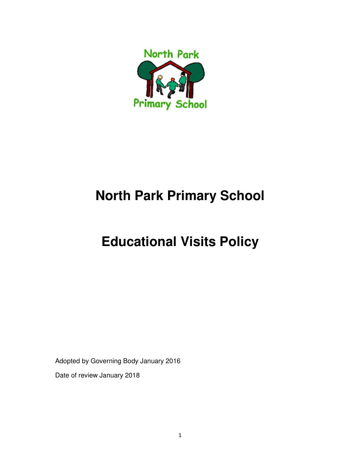

# **North Park Primary School**

# **Educational Visits Policy**

Adopted by Governing Body January 2016

Date of review January 2018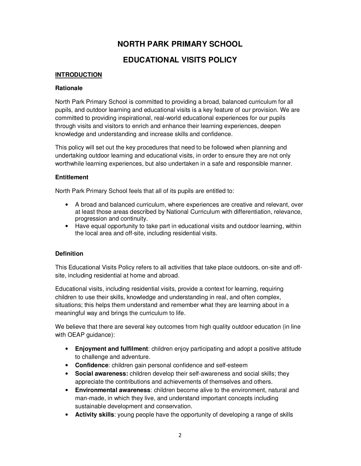# **NORTH PARK PRIMARY SCHOOL**

# **EDUCATIONAL VISITS POLICY**

## **INTRODUCTION**

#### **Rationale**

North Park Primary School is committed to providing a broad, balanced curriculum for all pupils, and outdoor learning and educational visits is a key feature of our provision. We are committed to providing inspirational, real-world educational experiences for our pupils through visits and visitors to enrich and enhance their learning experiences, deepen knowledge and understanding and increase skills and confidence.

This policy will set out the key procedures that need to be followed when planning and undertaking outdoor learning and educational visits, in order to ensure they are not only worthwhile learning experiences, but also undertaken in a safe and responsible manner.

## **Entitlement**

North Park Primary School feels that all of its pupils are entitled to:

- A broad and balanced curriculum, where experiences are creative and relevant, over at least those areas described by National Curriculum with differentiation, relevance, progression and continuity.
- Have equal opportunity to take part in educational visits and outdoor learning, within the local area and off-site, including residential visits.

## **Definition**

This Educational Visits Policy refers to all activities that take place outdoors, on-site and offsite, including residential at home and abroad.

Educational visits, including residential visits, provide a context for learning, requiring children to use their skills, knowledge and understanding in real, and often complex, situations; this helps them understand and remember what they are learning about in a meaningful way and brings the curriculum to life.

We believe that there are several key outcomes from high quality outdoor education (in line with OEAP guidance):

- **Enjoyment and fulfilment**: children enjoy participating and adopt a positive attitude to challenge and adventure.
- **Confidence**: children gain personal confidence and self-esteem
- **Social awareness:** children develop their self-awareness and social skills; they appreciate the contributions and achievements of themselves and others.
- **Environmental awareness**: children become alive to the environment, natural and man-made, in which they live, and understand important concepts including sustainable development and conservation.
- **Activity skills**: young people have the opportunity of developing a range of skills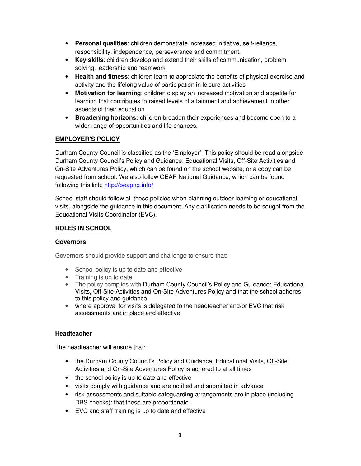- **Personal qualities**: children demonstrate increased initiative, self-reliance, responsibility, independence, perseverance and commitment.
- **Key skills**: children develop and extend their skills of communication, problem solving, leadership and teamwork.
- **Health and fitness**: children learn to appreciate the benefits of physical exercise and activity and the lifelong value of participation in leisure activities
- **Motivation for learning**: children display an increased motivation and appetite for learning that contributes to raised levels of attainment and achievement in other aspects of their education
- **Broadening horizons:** children broaden their experiences and become open to a wider range of opportunities and life chances.

## **EMPLOYER'S POLICY**

Durham County Council is classified as the 'Employer'. This policy should be read alongside Durham County Council's Policy and Guidance: Educational Visits, Off-Site Activities and On-Site Adventures Policy, which can be found on the school website, or a copy can be requested from school. We also follow OEAP National Guidance, which can be found following this link: http://oeapng.info/

School staff should follow all these policies when planning outdoor learning or educational visits, alongside the guidance in this document. Any clarification needs to be sought from the Educational Visits Coordinator (EVC).

## **ROLES IN SCHOOL**

## **Governors**

Governors should provide support and challenge to ensure that:

- School policy is up to date and effective
- Training is up to date
- The policy complies with Durham County Council's Policy and Guidance: Educational Visits, Off-Site Activities and On-Site Adventures Policy and that the school adheres to this policy and guidance
- where approval for visits is delegated to the headteacher and/or EVC that risk assessments are in place and effective

## **Headteacher**

The headteacher will ensure that:

- the Durham County Council's Policy and Guidance: Educational Visits, Off-Site Activities and On-Site Adventures Policy is adhered to at all times
- the school policy is up to date and effective
- visits comply with guidance and are notified and submitted in advance
- risk assessments and suitable safeguarding arrangements are in place (including DBS checks): that these are proportionate.
- EVC and staff training is up to date and effective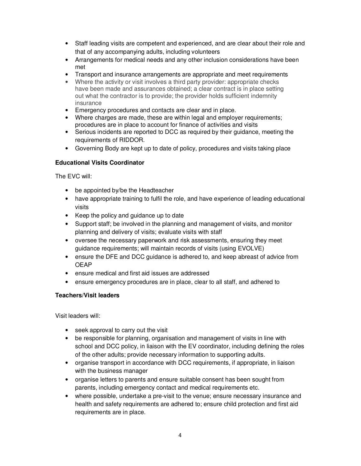- Staff leading visits are competent and experienced, and are clear about their role and that of any accompanying adults, including volunteers
- Arrangements for medical needs and any other inclusion considerations have been met
- Transport and insurance arrangements are appropriate and meet requirements
- Where the activity or visit involves a third party provider: appropriate checks have been made and assurances obtained; a clear contract is in place setting out what the contractor is to provide; the provider holds sufficient indemnity insurance
- Emergency procedures and contacts are clear and in place.
- Where charges are made, these are within legal and employer requirements; procedures are in place to account for finance of activities and visits
- Serious incidents are reported to DCC as required by their guidance, meeting the requirements of RIDDOR.
- Governing Body are kept up to date of policy, procedures and visits taking place

## **Educational Visits Coordinator**

The EVC will:

- be appointed by/be the Headteacher
- have appropriate training to fulfil the role, and have experience of leading educational visits
- Keep the policy and guidance up to date
- Support staff; be involved in the planning and management of visits, and monitor planning and delivery of visits; evaluate visits with staff
- oversee the necessary paperwork and risk assessments, ensuring they meet guidance requirements; will maintain records of visits (using EVOLVE)
- ensure the DFE and DCC guidance is adhered to, and keep abreast of advice from OEAP
- ensure medical and first aid issues are addressed
- ensure emergency procedures are in place, clear to all staff, and adhered to

#### **Teachers/Visit leaders**

Visit leaders will:

- seek approval to carry out the visit
- be responsible for planning, organisation and management of visits in line with school and DCC policy, in liaison with the EV coordinator, including defining the roles of the other adults; provide necessary information to supporting adults.
- organise transport in accordance with DCC requirements, if appropriate, in liaison with the business manager
- organise letters to parents and ensure suitable consent has been sought from parents, including emergency contact and medical requirements etc.
- where possible, undertake a pre-visit to the venue; ensure necessary insurance and health and safety requirements are adhered to; ensure child protection and first aid requirements are in place.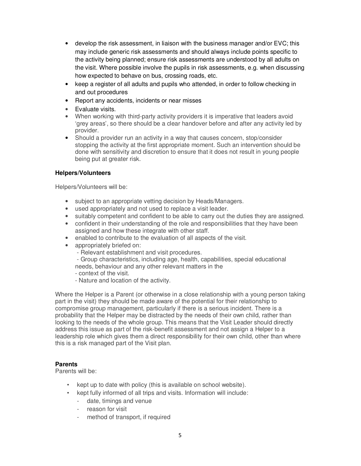- develop the risk assessment, in liaison with the business manager and/or EVC; this may include generic risk assessments and should always include points specific to the activity being planned; ensure risk assessments are understood by all adults on the visit. Where possible involve the pupils in risk assessments, e.g. when discussing how expected to behave on bus, crossing roads, etc.
- keep a register of all adults and pupils who attended, in order to follow checking in and out procedures
- Report any accidents, incidents or near misses
- Evaluate visits.
- When working with third-party activity providers it is imperative that leaders avoid 'grey areas', so there should be a clear handover before and after any activity led by provider.
- Should a provider run an activity in a way that causes concern, stop/consider stopping the activity at the first appropriate moment. Such an intervention should be done with sensitivity and discretion to ensure that it does not result in young people being put at greater risk.

## **Helpers/Volunteers**

Helpers/Volunteers will be:

- subject to an appropriate vetting decision by Heads/Managers.
- used appropriately and not used to replace a visit leader.
- suitably competent and confident to be able to carry out the duties they are assigned.
- confident in their understanding of the role and responsibilities that they have been assigned and how these integrate with other staff.
- enabled to contribute to the evaluation of all aspects of the visit.
- appropriately briefed on:
	- Relevant establishment and visit procedures.
	- Group characteristics, including age, health, capabilities, special educational needs, behaviour and any other relevant matters in the
	- context of the visit.
	- Nature and location of the activity.

Where the Helper is a Parent (or otherwise in a close relationship with a young person taking part in the visit) they should be made aware of the potential for their relationship to compromise group management, particularly if there is a serious incident. There is a probability that the Helper may be distracted by the needs of their own child, rather than looking to the needs of the whole group. This means that the Visit Leader should directly address this issue as part of the risk-benefit assessment and not assign a Helper to a leadership role which gives them a direct responsibility for their own child, other than where this is a risk managed part of the Visit plan.

#### **Parents**

Parents will be:

- kept up to date with policy (this is available on school website).
- kept fully informed of all trips and visits. Information will include:
	- date, timings and venue
	- reason for visit
	- method of transport, if required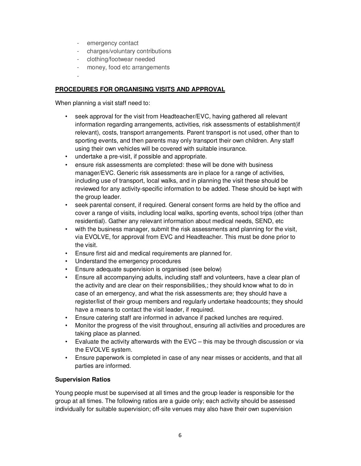- emergency contact
- charges/voluntary contributions
- clothing/footwear needed
- money, food etc arrangements
- -

## **PROCEDURES FOR ORGANISING VISITS AND APPROVAL**

When planning a visit staff need to:

- seek approval for the visit from Headteacher/EVC, having gathered all relevant information regarding arrangements, activities, risk assessments of establishment(if relevant), costs, transport arrangements. Parent transport is not used, other than to sporting events, and then parents may only transport their own children. Any staff using their own vehicles will be covered with suitable insurance.
- undertake a pre-visit, if possible and appropriate.
- ensure risk assessments are completed: these will be done with business manager/EVC. Generic risk assessments are in place for a range of activities, including use of transport, local walks, and in planning the visit these should be reviewed for any activity-specific information to be added. These should be kept with the group leader.
- seek parental consent, if required. General consent forms are held by the office and cover a range of visits, including local walks, sporting events, school trips (other than residential). Gather any relevant information about medical needs, SEND, etc
- with the business manager, submit the risk assessments and planning for the visit, via EVOLVE, for approval from EVC and Headteacher. This must be done prior to the visit.
- Ensure first aid and medical requirements are planned for.
- Understand the emergency procedures
- Ensure adequate supervision is organised (see below)
- Ensure all accompanying adults, including staff and volunteers, have a clear plan of the activity and are clear on their responsibilities,; they should know what to do in case of an emergency, and what the risk assessments are; they should have a register/list of their group members and regularly undertake headcounts; they should have a means to contact the visit leader, if required.
- Ensure catering staff are informed in advance if packed lunches are required.
- Monitor the progress of the visit throughout, ensuring all activities and procedures are taking place as planned.
- Evaluate the activity afterwards with the  $EVC -$  this may be through discussion or via the EVOLVE system.
- Ensure paperwork is completed in case of any near misses or accidents, and that all parties are informed.

## **Supervision Ratios**

Young people must be supervised at all times and the group leader is responsible for the group at all times. The following ratios are a guide only; each activity should be assessed individually for suitable supervision; off-site venues may also have their own supervision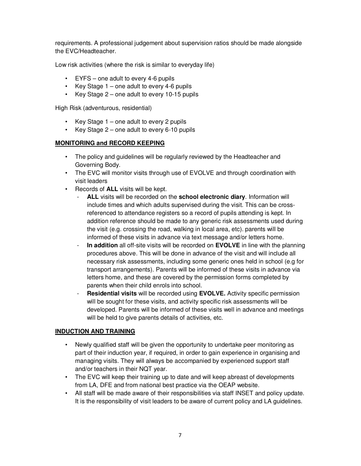requirements. A professional judgement about supervision ratios should be made alongside the EVC/Headteacher.

Low risk activities (where the risk is similar to everyday life)

- EYFS one adult to every 4-6 pupils
- Key Stage  $1$  one adult to every 4-6 pupils
- Key Stage 2 one adult to every 10-15 pupils

High Risk (adventurous, residential)

- Key Stage 1 one adult to every 2 pupils
- Key Stage 2 one adult to every 6-10 pupils

## **MONITORING and RECORD KEEPING**

- The policy and guidelines will be regularly reviewed by the Headteacher and Governing Body.
- The EVC will monitor visits through use of EVOLVE and through coordination with visit leaders
- Records of **ALL** visits will be kept.
	- ALL visits will be recorded on the **school electronic diary**. Information will include times and which adults supervised during the visit. This can be crossreferenced to attendance registers so a record of pupils attending is kept. In addition reference should be made to any generic risk assessments used during the visit (e.g. crossing the road, walking in local area, etc). parents will be informed of these visits in advance via text message and/or letters home.
	- **In addition** all off-site visits will be recorded on **EVOLVE** in line with the planning procedures above. This will be done in advance of the visit and will include all necessary risk assessments, including some generic ones held in school (e.g for transport arrangements). Parents will be informed of these visits in advance via letters home, and these are covered by the permission forms completed by parents when their child enrols into school.
	- **Residential visits** will be recorded using **EVOLVE.** Activity specific permission will be sought for these visits, and activity specific risk assessments will be developed. Parents will be informed of these visits well in advance and meetings will be held to give parents details of activities, etc.

#### **INDUCTION AND TRAINING**

- Newly qualified staff will be given the opportunity to undertake peer monitoring as part of their induction year, if required, in order to gain experience in organising and managing visits. They will always be accompanied by experienced support staff and/or teachers in their NQT year.
- The EVC will keep their training up to date and will keep abreast of developments from LA, DFE and from national best practice via the OEAP website.
- All staff will be made aware of their responsibilities via staff INSET and policy update. It is the responsibility of visit leaders to be aware of current policy and LA guidelines.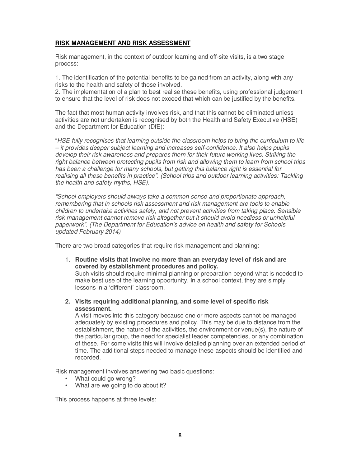## **RISK MANAGEMENT AND RISK ASSESSMENT**

Risk management, in the context of outdoor learning and off-site visits, is a two stage process:

1. The identification of the potential benefits to be gained from an activity, along with any risks to the health and safety of those involved.

2. The implementation of a plan to best realise these benefits, using professional judgement to ensure that the level of risk does not exceed that which can be justified by the benefits.

The fact that most human activity involves risk, and that this cannot be eliminated unless activities are not undertaken is recognised by both the Health and Safety Executive (HSE) and the Department for Education (DfE):

"*HSE fully recognises that learning outside the classroom helps to bring the curriculum to life – it provides deeper subject learning and increases self-confidence. It also helps pupils develop their risk awareness and prepares them for their future working lives. Striking the right balance between protecting pupils from risk and allowing them to learn from school trips has been a challenge for many schools, but getting this balance right is essential for realising all these benefits in practice". (School trips and outdoor learning activities: Tackling the health and safety myths, HSE).* 

*"School employers should always take a common sense and proportionate approach, remembering that in schools risk assessment and risk management are tools to enable children to undertake activities safely, and not prevent activities from taking place. Sensible risk management cannot remove risk altogether but it should avoid needless or unhelpful paperwork". (The Department for Education's advice on health and safety for Schools updated February 2014)* 

There are two broad categories that require risk management and planning:

1. **Routine visits that involve no more than an everyday level of risk and are covered by establishment procedures and policy.** 

Such visits should require minimal planning or preparation beyond what is needed to make best use of the learning opportunity. In a school context, they are simply lessons in a 'different' classroom.

**2. Visits requiring additional planning, and some level of specific risk assessment.** 

A visit moves into this category because one or more aspects cannot be managed adequately by existing procedures and policy. This may be due to distance from the establishment, the nature of the activities, the environment or venue(s), the nature of the particular group, the need for specialist leader competencies, or any combination of these. For some visits this will involve detailed planning over an extended period of time. The additional steps needed to manage these aspects should be identified and recorded.

Risk management involves answering two basic questions:

- What could go wrong?
- What are we going to do about it?

This process happens at three levels: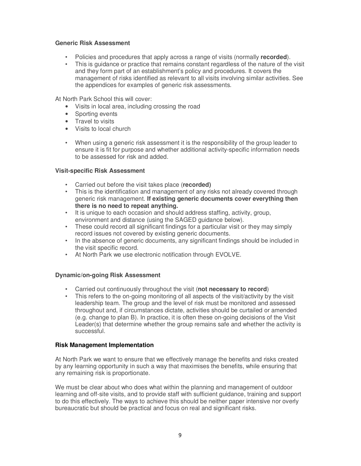#### **Generic Risk Assessment**

- Policies and procedures that apply across a range of visits (normally **recorded**).
- This is guidance or practice that remains constant regardless of the nature of the visit and they form part of an establishment's policy and procedures. It covers the management of risks identified as relevant to all visits involving similar activities. See the appendices for examples of generic risk assessments.

At North Park School this will cover:

- Visits in local area, including crossing the road
- Sporting events
- Travel to visits
- Visits to local church
- When using a generic risk assessment it is the responsibility of the group leader to ensure it is fit for purpose and whether additional activity-specific information needs to be assessed for risk and added.

#### **Visit-specific Risk Assessment**

- Carried out before the visit takes place (**recorded)**
- This is the identification and management of any risks not already covered through generic risk management. **If existing generic documents cover everything then there is no need to repeat anything.**
- It is unique to each occasion and should address staffing, activity, group, environment and distance (using the SAGED guidance below).
- These could record all significant findings for a particular visit or they may simply record issues not covered by existing generic documents.
- In the absence of generic documents, any significant findings should be included in the visit specific record.
- At North Park we use electronic notification through EVOLVE.

#### **Dynamic/on-going Risk Assessment**

- Carried out continuously throughout the visit (**not necessary to record**)
- This refers to the on-going monitoring of all aspects of the visit/activity by the visit leadership team. The group and the level of risk must be monitored and assessed throughout and, if circumstances dictate, activities should be curtailed or amended (e.g. change to plan B). In practice, it is often these on-going decisions of the Visit Leader(s) that determine whether the group remains safe and whether the activity is successful.

#### **Risk Management Implementation**

At North Park we want to ensure that we effectively manage the benefits and risks created by any learning opportunity in such a way that maximises the benefits, while ensuring that any remaining risk is proportionate.

We must be clear about who does what within the planning and management of outdoor learning and off-site visits, and to provide staff with sufficient guidance, training and support to do this effectively. The ways to achieve this should be neither paper intensive nor overly bureaucratic but should be practical and focus on real and significant risks.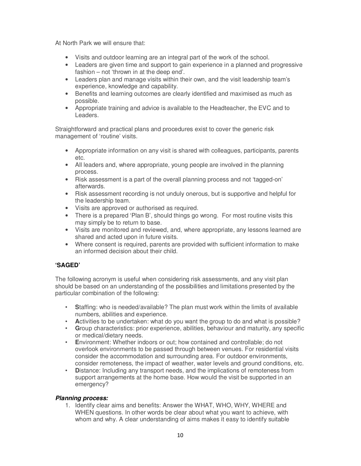At North Park we will ensure that:

- Visits and outdoor learning are an integral part of the work of the school.
- Leaders are given time and support to gain experience in a planned and progressive fashion – not 'thrown in at the deep end'.
- Leaders plan and manage visits within their own, and the visit leadership team's experience, knowledge and capability.
- Benefits and learning outcomes are clearly identified and maximised as much as possible.
- Appropriate training and advice is available to the Headteacher, the EVC and to Leaders.

Straightforward and practical plans and procedures exist to cover the generic risk management of 'routine' visits.

- Appropriate information on any visit is shared with colleagues, participants, parents etc.
- All leaders and, where appropriate, young people are involved in the planning process.
- Risk assessment is a part of the overall planning process and not 'tagged-on' afterwards.
- Risk assessment recording is not unduly onerous, but is supportive and helpful for the leadership team.
- Visits are approved or authorised as required.
- There is a prepared 'Plan B', should things go wrong. For most routine visits this may simply be to return to base.
- Visits are monitored and reviewed, and, where appropriate, any lessons learned are shared and acted upon in future visits.
- Where consent is required, parents are provided with sufficient information to make an informed decision about their child.

## **'SAGED'**

The following acronym is useful when considering risk assessments, and any visit plan should be based on an understanding of the possibilities and limitations presented by the particular combination of the following:

- **S**taffing: who is needed/available? The plan must work within the limits of available numbers, abilities and experience.
- **A**ctivities to be undertaken: what do you want the group to do and what is possible?
- **G**roup characteristics: prior experience, abilities, behaviour and maturity, any specific or medical/dietary needs.
- **E**nvironment: Whether indoors or out; how contained and controllable; do not overlook environments to be passed through between venues. For residential visits consider the accommodation and surrounding area. For outdoor environments, consider remoteness, the impact of weather, water levels and ground conditions, etc.
- **D**istance: Including any transport needs, and the implications of remoteness from support arrangements at the home base. How would the visit be supported in an emergency?

#### *Planning process:*

1. Identify clear aims and benefits: Answer the WHAT, WHO, WHY, WHERE and WHEN questions. In other words be clear about what you want to achieve, with whom and why. A clear understanding of aims makes it easy to identify suitable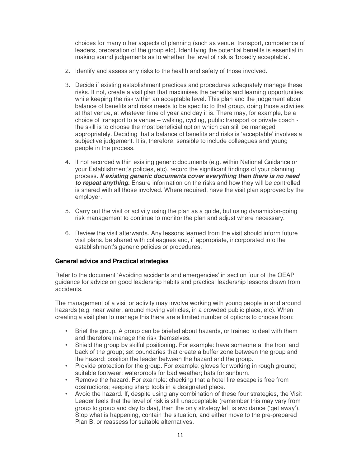choices for many other aspects of planning (such as venue, transport, competence of leaders, preparation of the group etc). Identifying the potential benefits is essential in making sound judgements as to whether the level of risk is 'broadly acceptable'.

- 2. Identify and assess any risks to the health and safety of those involved.
- 3. Decide if existing establishment practices and procedures adequately manage these risks. If not, create a visit plan that maximises the benefits and learning opportunities while keeping the risk within an acceptable level. This plan and the judgement about balance of benefits and risks needs to be specific to that group, doing those activities at that venue, at whatever time of year and day it is. There may, for example, be a choice of transport to a venue – walking, cycling, public transport or private coach the skill is to choose the most beneficial option which can still be managed appropriately. Deciding that a balance of benefits and risks is 'acceptable' involves a subjective judgement. It is, therefore, sensible to include colleagues and young people in the process.
- 4. If not recorded within existing generic documents (e.g. within National Guidance or your Establishment's policies, etc), record the significant findings of your planning process*. If existing generic documents cover everything then there is no need to repeat anything.* Ensure information on the risks and how they will be controlled is shared with all those involved. Where required, have the visit plan approved by the employer.
- 5. Carry out the visit or activity using the plan as a guide, but using dynamic/on-going risk management to continue to monitor the plan and adjust where necessary.
- 6. Review the visit afterwards. Any lessons learned from the visit should inform future visit plans, be shared with colleagues and, if appropriate, incorporated into the establishment's generic policies or procedures.

#### **General advice and Practical strategies**

Refer to the document 'Avoiding accidents and emergencies' in section four of the OEAP guidance for advice on good leadership habits and practical leadership lessons drawn from accidents.

The management of a visit or activity may involve working with young people in and around hazards (e.g. near water, around moving vehicles, in a crowded public place, etc). When creating a visit plan to manage this there are a limited number of options to choose from:

- Brief the group. A group can be briefed about hazards, or trained to deal with them and therefore manage the risk themselves.
- Shield the group by skilful positioning. For example: have someone at the front and back of the group; set boundaries that create a buffer zone between the group and the hazard; position the leader between the hazard and the group.
- Provide protection for the group. For example: gloves for working in rough ground; suitable footwear; waterproofs for bad weather; hats for sunburn.
- Remove the hazard. For example: checking that a hotel fire escape is free from obstructions; keeping sharp tools in a designated place.
- Avoid the hazard. If, despite using any combination of these four strategies, the Visit Leader feels that the level of risk is still unacceptable (remember this may vary from group to group and day to day), then the only strategy left is avoidance ('get away'). Stop what is happening, contain the situation, and either move to the pre-prepared Plan B, or reassess for suitable alternatives.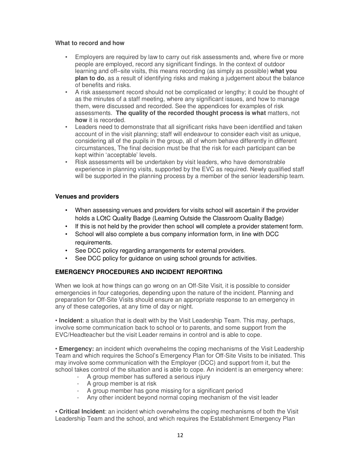#### **What to record and how**

- Employers are required by law to carry out risk assessments and, where five or more people are employed, record any significant findings. In the context of outdoor learning and off–site visits, this means recording (as simply as possible) **what you plan to do**, as a result of identifying risks and making a judgement about the balance of benefits and risks.
- A risk assessment record should not be complicated or lengthy; it could be thought of as the minutes of a staff meeting, where any significant issues, and how to manage them, were discussed and recorded. See the appendices for examples of risk assessments. **The quality of the recorded thought process is what** matters, not **how** it is recorded.
- Leaders need to demonstrate that all significant risks have been identified and taken account of in the visit planning; staff will endeavour to consider each visit as unique, considering all of the pupils in the group, all of whom behave differently in different circumstances, The final decision must be that the risk for each participant can be kept within 'acceptable' levels.
- Risk assessments will be undertaken by visit leaders, who have demonstrable experience in planning visits, supported by the EVC as required. Newly qualified staff will be supported in the planning process by a member of the senior leadership team.

#### **Venues and providers**

- When assessing venues and providers for visits school will ascertain if the provider holds a LOtC Quality Badge (Learning Outside the Classroom Quality Badge)
- If this is not held by the provider then school will complete a provider statement form.
- School will also complete a bus company information form, in line with DCC requirements.
- See DCC policy regarding arrangements for external providers.
- See DCC policy for guidance on using school grounds for activities.

## **EMERGENCY PROCEDURES AND INCIDENT REPORTING**

When we look at how things can go wrong on an Off-Site Visit, it is possible to consider emergencies in four categories, depending upon the nature of the incident. Planning and preparation for Off-Site Visits should ensure an appropriate response to an emergency in any of these categories, at any time of day or night.

• **Incident**: a situation that is dealt with by the Visit Leadership Team. This may, perhaps, involve some communication back to school or to parents, and some support from the EVC/Headteacher but the visit Leader remains in control and is able to cope.

• **Emergency:** an incident which overwhelms the coping mechanisms of the Visit Leadership Team and which requires the School's Emergency Plan for Off-Site Visits to be initiated. This may involve some communication with the Employer (DCC) and support from it, but the school takes control of the situation and is able to cope. An incident is an emergency where:

- A group member has suffered a serious injury
- A group member is at risk
- A group member has gone missing for a significant period
- Any other incident beyond normal coping mechanism of the visit leader

• **Critical Incident**: an incident which overwhelms the coping mechanisms of both the Visit Leadership Team and the school, and which requires the Establishment Emergency Plan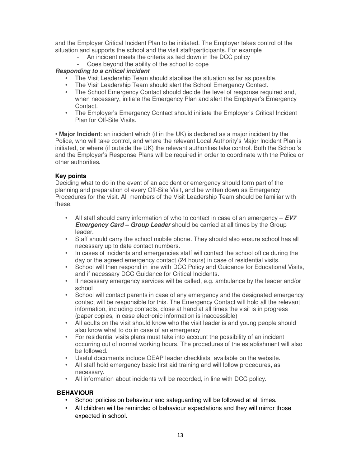and the Employer Critical Incident Plan to be initiated. The Employer takes control of the situation and supports the school and the visit staff/participants. For example

- An incident meets the criteria as laid down in the DCC policy
- Goes beyond the ability of the school to cope

#### *Responding to a critical incident*

- The Visit Leadership Team should stabilise the situation as far as possible.
- The Visit Leadership Team should alert the School Emergency Contact.
- The School Emergency Contact should decide the level of response required and, when necessary, initiate the Emergency Plan and alert the Employer's Emergency Contact.
- The Employer's Emergency Contact should initiate the Employer's Critical Incident Plan for Off-Site Visits.

• **Major Incident**: an incident which (if in the UK) is declared as a major incident by the Police, who will take control, and where the relevant Local Authority's Major Incident Plan is initiated, or where (if outside the UK) the relevant authorities take control. Both the School's and the Employer's Response Plans will be required in order to coordinate with the Police or other authorities.

#### **Key points**

Deciding what to do in the event of an accident or emergency should form part of the planning and preparation of every Off-Site Visit, and be written down as Emergency Procedures for the visit. All members of the Visit Leadership Team should be familiar with these.

- All staff should carry information of who to contact in case of an emergency *EV7 Emergency Card – Group Leader* should be carried at all times by the Group leader.
- Staff should carry the school mobile phone. They should also ensure school has all necessary up to date contact numbers.
- In cases of incidents and emergencies staff will contact the school office during the day or the agreed emergency contact (24 hours) in case of residential visits.
- School will then respond in line with DCC Policy and Guidance for Educational Visits, and if necessary DCC Guidance for Critical Incidents.
- If necessary emergency services will be called, e.g. ambulance by the leader and/or school
- School will contact parents in case of any emergency and the designated emergency contact will be responsible for this. The Emergency Contact will hold all the relevant information, including contacts, close at hand at all times the visit is in progress (paper copies, in case electronic information is inaccessible)
- All adults on the visit should know who the visit leader is and young people should also know what to do in case of an emergency
- For residential visits plans must take into account the possibility of an incident occurring out of normal working hours. The procedures of the establishment will also be followed.
- Useful documents include OEAP leader checklists, available on the website.
- All staff hold emergency basic first aid training and will follow procedures, as necessary.
- All information about incidents will be recorded, in line with DCC policy.

## **BEHAVIOUR**

- School policies on behaviour and safeguarding will be followed at all times.
- All children will be reminded of behaviour expectations and they will mirror those expected in school.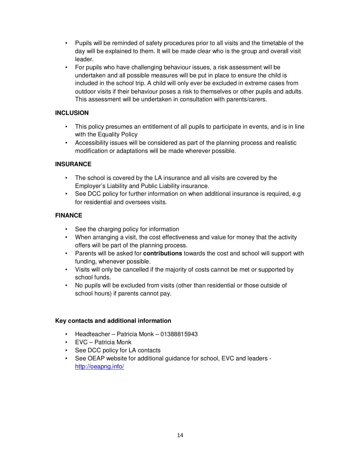- Pupils will be reminded of safety procedures prior to all visits and the timetable of the day will be explained to them. It will be made clear who is the group and overall visit leader.
- For pupils who have challenging behaviour issues, a risk assessment will be undertaken and all possible measures will be put in place to ensure the child is included in the school trip. A child will only ever be excluded in extreme cases from outdoor visits if their behaviour poses a risk to themselves or other pupils and adults. This assessment will be undertaken in consultation with parents/carers.

## **INCLUSION**

- This policy presumes an entitlement of all pupils to participate in events, and is in line with the Equality Policy
- Accessibility issues will be considered as part of the planning process and realistic modification or adaptations will be made wherever possible.

## **INSURANCE**

- The school is covered by the LA insurance and all visits are covered by the Employer's Liability and Public Liability insurance.
- See DCC policy for further information on when additional insurance is required, e.g for residential and oversees visits.

## **FINANCE**

- See the charging policy for information
- When arranging a visit, the cost effectiveness and value for money that the activity offers will be part of the planning process.
- Parents will be asked for **contributions** towards the cost and school will support with funding, whenever possible.
- Visits will only be cancelled if the majority of costs cannot be met or supported by school funds.
- No pupils will be excluded from visits (other than residential or those outside of school hours) if parents cannot pay.

## **Key contacts and additional information**

- Headteacher Patricia Monk 01388815943
- EVC Patricia Monk
- See DCC policy for LA contacts
- See OEAP website for additional guidance for school, EVC and leaders http://oeapng.info/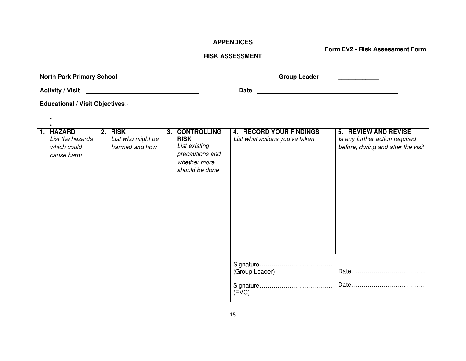#### **APPENDICES**

**Form EV2 - Risk Assessment Form** 

## **RISK ASSESSMENT**

**North Park Primary School**

**Group Leader** \_\_\_\_\_\_\_\_\_\_\_\_

Activity / Visit <u>**Activity / Visit**</u> 2010 **Date Date Date Date Date Date Date Date Date Date Date Date Date Date Date Date Date Date Date Date Date Date Date Date Date Dat** 

•

**Educational / Visit Objectives**:-

| 1. HAZARD<br>List the hazards<br>which could<br>cause harm | 2. RISK<br>List who might be<br>harmed and how | 3. | <b>CONTROLLING</b><br><b>RISK</b><br>List existing<br>precautions and<br>whether more<br>should be done | <b>4. RECORD YOUR FINDINGS</b><br>List what actions you've taken | <b>5. REVIEW AND REVISE</b><br>Is any further action required<br>before, during and after the visit |
|------------------------------------------------------------|------------------------------------------------|----|---------------------------------------------------------------------------------------------------------|------------------------------------------------------------------|-----------------------------------------------------------------------------------------------------|
|                                                            |                                                |    |                                                                                                         |                                                                  |                                                                                                     |
|                                                            |                                                |    |                                                                                                         |                                                                  |                                                                                                     |
|                                                            |                                                |    |                                                                                                         |                                                                  |                                                                                                     |
|                                                            |                                                |    |                                                                                                         |                                                                  |                                                                                                     |
|                                                            |                                                |    |                                                                                                         |                                                                  |                                                                                                     |
|                                                            |                                                |    |                                                                                                         | $\sim$                                                           |                                                                                                     |

| (Group Leader) |  |
|----------------|--|
| (EVC)          |  |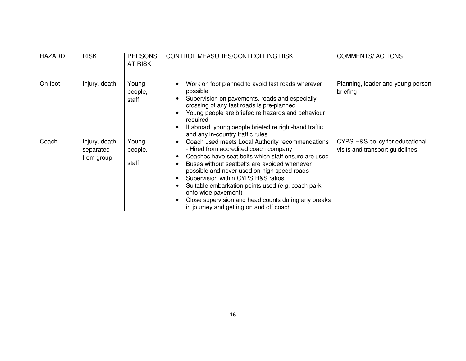| <b>HAZARD</b> | <b>RISK</b>                               | <b>PERSONS</b><br>AT RISK | CONTROL MEASURES/CONTROLLING RISK                                                                                                                                                                                                                                                                                                                                                                                                                                    | <b>COMMENTS/ACTIONS</b>                                            |
|---------------|-------------------------------------------|---------------------------|----------------------------------------------------------------------------------------------------------------------------------------------------------------------------------------------------------------------------------------------------------------------------------------------------------------------------------------------------------------------------------------------------------------------------------------------------------------------|--------------------------------------------------------------------|
| On foot       | Injury, death                             | Young<br>people,<br>staff | Work on foot planned to avoid fast roads wherever<br>possible<br>Supervision on pavements, roads and especially<br>crossing of any fast roads is pre-planned<br>Young people are briefed re hazards and behaviour<br>required<br>If abroad, young people briefed re right-hand traffic<br>and any in-country traffic rules                                                                                                                                           | Planning, leader and young person<br>briefing                      |
| Coach         | Injury, death,<br>separated<br>from group | Young<br>people,<br>staff | Coach used meets Local Authority recommendations<br>- Hired from accredited coach company<br>Coaches have seat belts which staff ensure are used<br>Buses without seatbelts are avoided whenever<br>possible and never used on high speed roads<br>Supervision within CYPS H&S ratios<br>Suitable embarkation points used (e.g. coach park,<br>onto wide pavement)<br>Close supervision and head counts during any breaks<br>in journey and getting on and off coach | CYPS H&S policy for educational<br>visits and transport guidelines |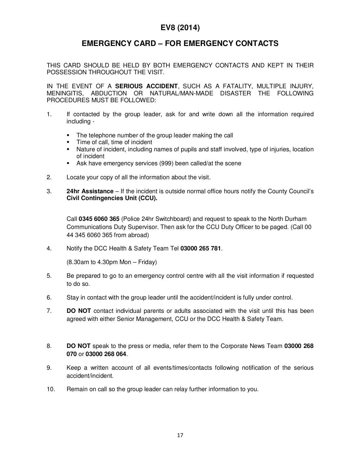# **EV8 (2014)**

# **EMERGENCY CARD – FOR EMERGENCY CONTACTS**

THIS CARD SHOULD BE HELD BY BOTH EMERGENCY CONTACTS AND KEPT IN THEIR POSSESSION THROUGHOUT THE VISIT.

IN THE EVENT OF A **SERIOUS ACCIDENT**, SUCH AS A FATALITY, MULTIPLE INJURY, MENINGITIS, ABDUCTION OR NATURAL/MAN-MADE DISASTER THE FOLLOWING PROCEDURES MUST BE FOLLOWED:

- 1. If contacted by the group leader, ask for and write down all the information required including -
	- The telephone number of the group leader making the call
	- Time of call, time of incident
	- Nature of incident, including names of pupils and staff involved, type of injuries, location of incident
	- Ask have emergency services (999) been called/at the scene
- 2. Locate your copy of all the information about the visit.
- 3. **24hr Assistance** If the incident is outside normal office hours notify the County Council's **Civil Contingencies Unit (CCU).**

Call **0345 6060 365** (Police 24hr Switchboard) and request to speak to the North Durham Communications Duty Supervisor. Then ask for the CCU Duty Officer to be paged. (Call 00 44 345 6060 365 from abroad)

4. Notify the DCC Health & Safety Team Tel **03000 265 781**.

 $(8.30$ am to  $4.30$ pm Mon – Friday)

- 5. Be prepared to go to an emergency control centre with all the visit information if requested to do so.
- 6. Stay in contact with the group leader until the accident/incident is fully under control.
- 7. **DO NOT** contact individual parents or adults associated with the visit until this has been agreed with either Senior Management, CCU or the DCC Health & Safety Team.
- 8. **DO NOT** speak to the press or media, refer them to the Corporate News Team **03000 268 070** or **03000 268 064**.
- 9. Keep a written account of all events/times/contacts following notification of the serious accident/incident.
- 10. Remain on call so the group leader can relay further information to you.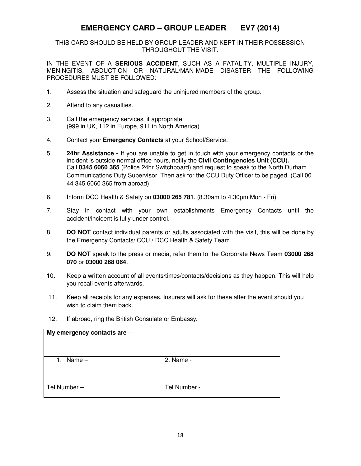# **EMERGENCY CARD – GROUP LEADER EV7 (2014)**

THIS CARD SHOULD BE HELD BY GROUP LEADER AND KEPT IN THEIR POSSESSION THROUGHOUT THE VISIT.

IN THE EVENT OF A **SERIOUS ACCIDENT**, SUCH AS A FATALITY, MULTIPLE INJURY, MENINGITIS, ABDUCTION OR NATURAL/MAN-MADE DISASTER THE FOLLOWING PROCEDURES MUST BE FOLLOWED:

- 1. Assess the situation and safeguard the uninjured members of the group.
- 2. Attend to any casualties.
- 3. Call the emergency services, if appropriate. (999 in UK, 112 in Europe, 911 in North America)
- 4. Contact your **Emergency Contacts** at your School/Service.
- 5. **24hr Assistance** If you are unable to get in touch with your emergency contacts or the incident is outside normal office hours, notify the **Civil Contingencies Unit (CCU).**  Call **0345 6060 365** (Police 24hr Switchboard) and request to speak to the North Durham Communications Duty Supervisor. Then ask for the CCU Duty Officer to be paged. (Call 00 44 345 6060 365 from abroad)
- 6. Inform DCC Health & Safety on **03000 265 781**. (8.30am to 4.30pm Mon Fri)
- 7. Stay in contact with your own establishments Emergency Contacts until the accident/incident is fully under control.
- 8. **DO NOT** contact individual parents or adults associated with the visit, this will be done by the Emergency Contacts/ CCU / DCC Health & Safety Team.
- 9. **DO NOT** speak to the press or media, refer them to the Corporate News Team **03000 268 070** or **03000 268 064**.
- 10. Keep a written account of all events/times/contacts/decisions as they happen. This will help you recall events afterwards.
- 11. Keep all receipts for any expenses. Insurers will ask for these after the event should you wish to claim them back.
- 12. If abroad, ring the British Consulate or Embassy.

| My emergency contacts are - |              |  |  |
|-----------------------------|--------------|--|--|
| Name $-$<br>1.              | 2. Name -    |  |  |
| Tel Number-                 | Tel Number - |  |  |